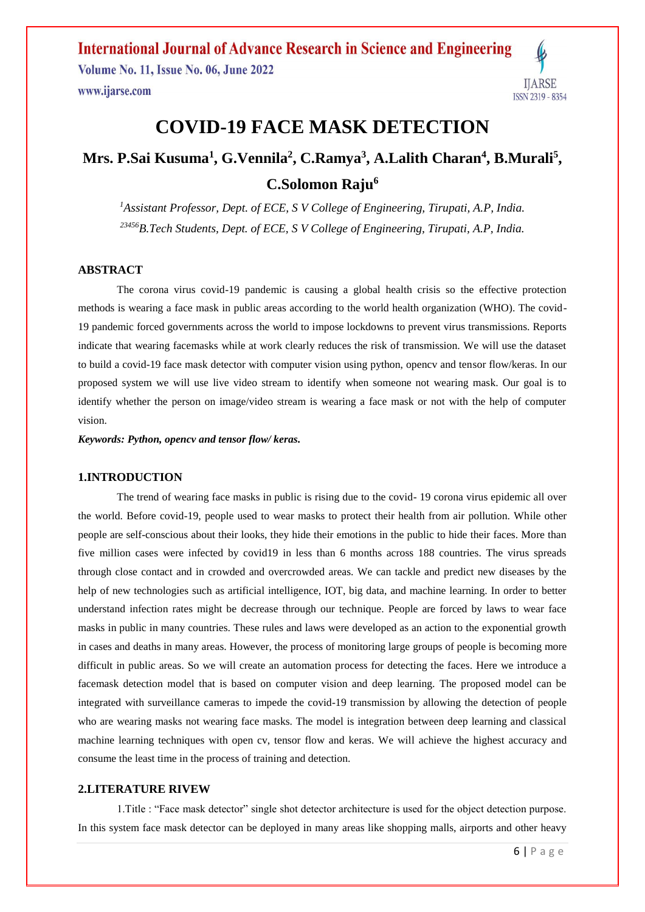**Volume No. 11, Issue No. 06, June 2022** www.ijarse.com



# **COVID-19 FACE MASK DETECTION**

# **Mrs. P.Sai Kusuma<sup>1</sup> , G.Vennila<sup>2</sup> , C.Ramya<sup>3</sup> , A.Lalith Charan<sup>4</sup> , B.Murali<sup>5</sup> , C.Solomon Raju<sup>6</sup>**

*<sup>1</sup>Assistant Professor, Dept. of ECE, S V College of Engineering, Tirupati, A.P, India. <sup>23456</sup>B.Tech Students, Dept. of ECE, S V College of Engineering, Tirupati, A.P, India.*

#### **ABSTRACT**

The corona virus covid-19 pandemic is causing a global health crisis so the effective protection methods is wearing a face mask in public areas according to the world health organization (WHO). The covid-19 pandemic forced governments across the world to impose lockdowns to prevent virus transmissions. Reports indicate that wearing facemasks while at work clearly reduces the risk of transmission. We will use the dataset to build a covid-19 face mask detector with computer vision using python, opencv and tensor flow/keras. In our proposed system we will use live video stream to identify when someone not wearing mask. Our goal is to identify whether the person on image/video stream is wearing a face mask or not with the help of computer vision.

*Keywords: Python, opencv and tensor flow/ keras.*

#### **1.INTRODUCTION**

The trend of wearing face masks in public is rising due to the covid- 19 corona virus epidemic all over the world. Before covid-19, people used to wear masks to protect their health from air pollution. While other people are self-conscious about their looks, they hide their emotions in the public to hide their faces. More than five million cases were infected by covid19 in less than 6 months across 188 countries. The virus spreads through close contact and in crowded and overcrowded areas. We can tackle and predict new diseases by the help of new technologies such as artificial intelligence, IOT, big data, and machine learning. In order to better understand infection rates might be decrease through our technique. People are forced by laws to wear face masks in public in many countries. These rules and laws were developed as an action to the exponential growth in cases and deaths in many areas. However, the process of monitoring large groups of people is becoming more difficult in public areas. So we will create an automation process for detecting the faces. Here we introduce a facemask detection model that is based on computer vision and deep learning. The proposed model can be integrated with surveillance cameras to impede the covid-19 transmission by allowing the detection of people who are wearing masks not wearing face masks. The model is integration between deep learning and classical machine learning techniques with open cv, tensor flow and keras. We will achieve the highest accuracy and consume the least time in the process of training and detection.

#### **2.LITERATURE RIVEW**

1.Title : "Face mask detector" single shot detector architecture is used for the object detection purpose. In this system face mask detector can be deployed in many areas like shopping malls, airports and other heavy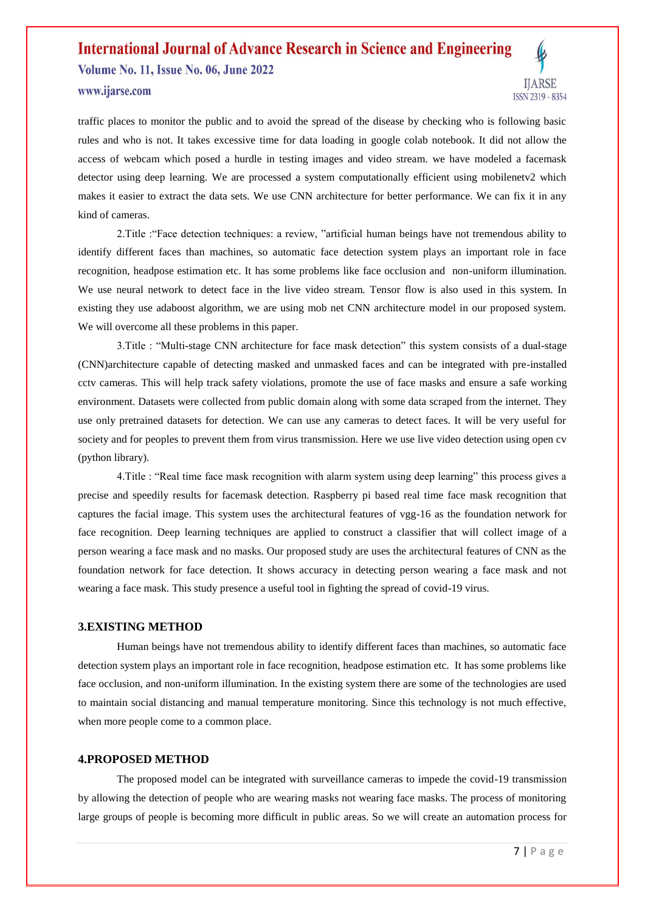**Volume No. 11, Issue No. 06, June 2022** 



www.ijarse.com

traffic places to monitor the public and to avoid the spread of the disease by checking who is following basic rules and who is not. It takes excessive time for data loading in google colab notebook. It did not allow the access of webcam which posed a hurdle in testing images and video stream. we have modeled a facemask detector using deep learning. We are processed a system computationally efficient using mobilenetv2 which makes it easier to extract the data sets. We use CNN architecture for better performance. We can fix it in any kind of cameras.

2.Title :"Face detection techniques: a review, "artificial human beings have not tremendous ability to identify different faces than machines, so automatic face detection system plays an important role in face recognition, headpose estimation etc. It has some problems like face occlusion and non-uniform illumination. We use neural network to detect face in the live video stream. Tensor flow is also used in this system. In existing they use adaboost algorithm, we are using mob net CNN architecture model in our proposed system. We will overcome all these problems in this paper.

3.Title : "Multi-stage CNN architecture for face mask detection" this system consists of a dual-stage (CNN)architecture capable of detecting masked and unmasked faces and can be integrated with pre-installed cctv cameras. This will help track safety violations, promote the use of face masks and ensure a safe working environment. Datasets were collected from public domain along with some data scraped from the internet. They use only pretrained datasets for detection. We can use any cameras to detect faces. It will be very useful for society and for peoples to prevent them from virus transmission. Here we use live video detection using open cv (python library).

4.Title : "Real time face mask recognition with alarm system using deep learning" this process gives a precise and speedily results for facemask detection. Raspberry pi based real time face mask recognition that captures the facial image. This system uses the architectural features of vgg-16 as the foundation network for face recognition. Deep learning techniques are applied to construct a classifier that will collect image of a person wearing a face mask and no masks. Our proposed study are uses the architectural features of CNN as the foundation network for face detection. It shows accuracy in detecting person wearing a face mask and not wearing a face mask. This study presence a useful tool in fighting the spread of covid-19 virus.

#### **3.EXISTING METHOD**

Human beings have not tremendous ability to identify different faces than machines, so automatic face detection system plays an important role in face recognition, headpose estimation etc. It has some problems like face occlusion, and non-uniform illumination. In the existing system there are some of the technologies are used to maintain social distancing and manual temperature monitoring. Since this technology is not much effective, when more people come to a common place.

#### **4.PROPOSED METHOD**

The proposed model can be integrated with surveillance cameras to impede the covid-19 transmission by allowing the detection of people who are wearing masks not wearing face masks. The process of monitoring large groups of people is becoming more difficult in public areas. So we will create an automation process for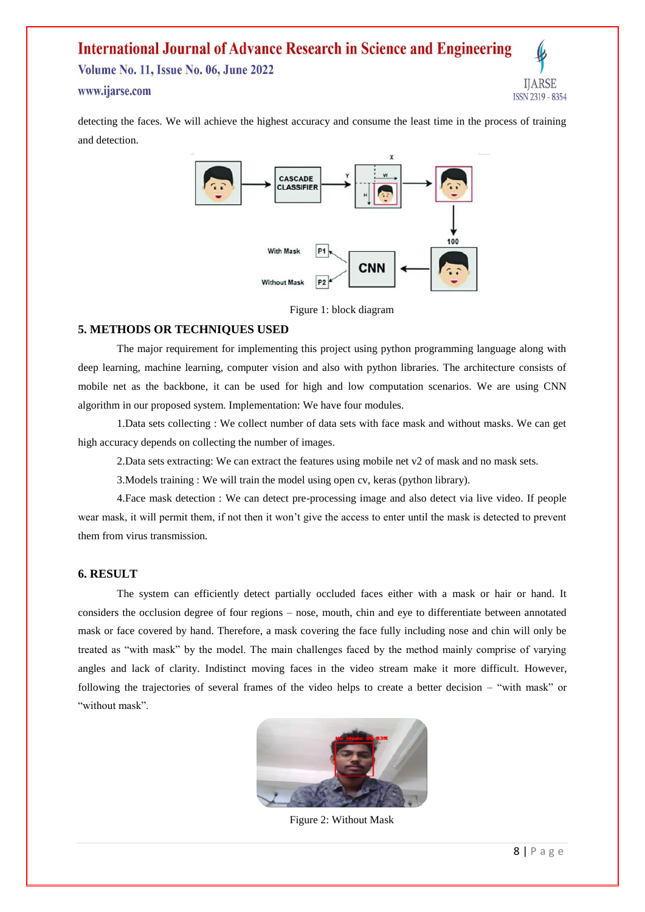**Volume No. 11, Issue No. 06, June 2022** 

## www.ijarse.com

IJARSE ISSN 2319 - 8354

detecting the faces. We will achieve the highest accuracy and consume the least time in the process of training and detection.



Figure 1: block diagram

## **5. METHODS OR TECHNIQUES USED**

The major requirement for implementing this project using python programming language along with deep learning, machine learning, computer vision and also with python libraries. The architecture consists of mobile net as the backbone, it can be used for high and low computation scenarios. We are using CNN algorithm in our proposed system. Implementation: We have four modules.

1.Data sets collecting : We collect number of data sets with face mask and without masks. We can get high accuracy depends on collecting the number of images.

2.Data sets extracting: We can extract the features using mobile net v2 of mask and no mask sets.

3.Models training : We will train the model using open cv, keras (python library).

4.Face mask detection : We can detect pre-processing image and also detect via live video. If people wear mask, it will permit them, if not then it won't give the access to enter until the mask is detected to prevent them from virus transmission.

### **6. RESULT**

The system can efficiently detect partially occluded faces either with a mask or hair or hand. It considers the occlusion degree of four regions – nose, mouth, chin and eye to differentiate between annotated mask or face covered by hand. Therefore, a mask covering the face fully including nose and chin will only be treated as "with mask" by the model. The main challenges faced by the method mainly comprise of varying angles and lack of clarity. Indistinct moving faces in the video stream make it more difficult. However, following the trajectories of several frames of the video helps to create a better decision – "with mask" or "without mask".



Figure 2: Without Mask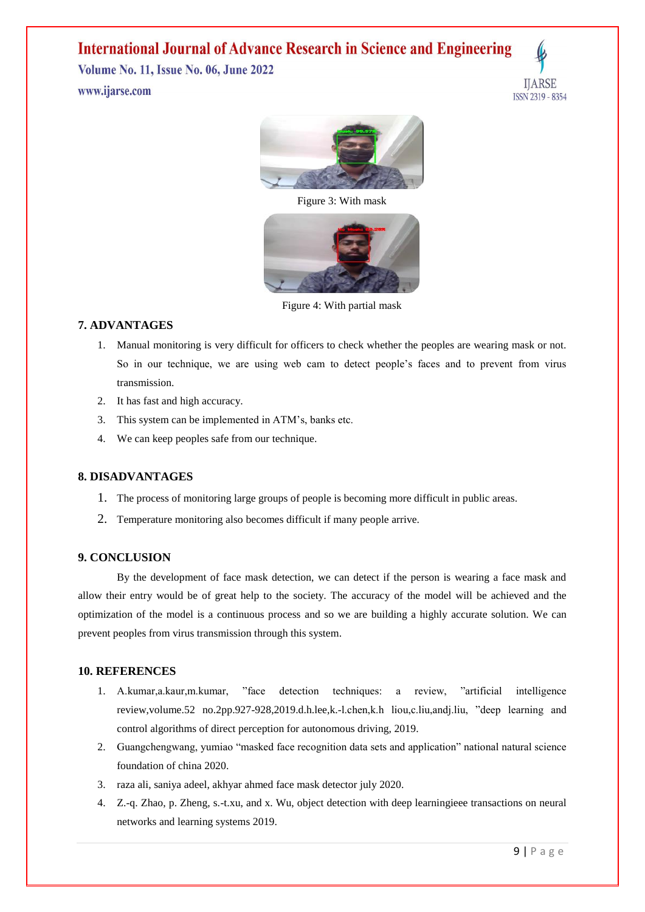**Volume No. 11, Issue No. 06, June 2022** www.ijarse.com





Figure 3: With mask



Figure 4: With partial mask

## **7. ADVANTAGES**

- 1. Manual monitoring is very difficult for officers to check whether the peoples are wearing mask or not. So in our technique, we are using web cam to detect people's faces and to prevent from virus transmission.
- 2. It has fast and high accuracy.
- 3. This system can be implemented in ATM's, banks etc.
- 4. We can keep peoples safe from our technique.

## **8. DISADVANTAGES**

- 1. The process of monitoring large groups of people is becoming more difficult in public areas.
- 2. Temperature monitoring also becomes difficult if many people arrive.

### **9. CONCLUSION**

By the development of face mask detection, we can detect if the person is wearing a face mask and allow their entry would be of great help to the society. The accuracy of the model will be achieved and the optimization of the model is a continuous process and so we are building a highly accurate solution. We can prevent peoples from virus transmission through this system.

### **10. REFERENCES**

- 1. A.kumar,a.kaur,m.kumar, "face detection techniques: a review, "artificial intelligence review,volume.52 no.2pp.927-928,2019.d.h.lee,k.-l.chen,k.h liou,c.liu,andj.liu, "deep learning and control algorithms of direct perception for autonomous driving, 2019.
- 2. Guangchengwang, yumiao "masked face recognition data sets and application" national natural science foundation of china 2020.
- 3. raza ali, saniya adeel, akhyar ahmed face mask detector july 2020.
- 4. Z.-q. Zhao, p. Zheng, s.-t.xu, and x. Wu, object detection with deep learningieee transactions on neural networks and learning systems 2019.